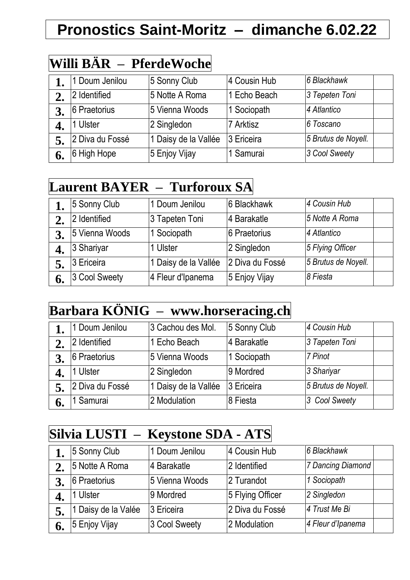# **Pronostics Saint-Moritz – dimanche 6.02.22**

### **Willi BÄR – PferdeWoche**

|    | 1 Doum Jenilou  | 5 Sonny Club         | 4 Cousin Hub | 6 Blackhawk         |
|----|-----------------|----------------------|--------------|---------------------|
|    | 2 Identified    | 5 Notte A Roma       | Echo Beach   | 3 Tepeten Toni      |
|    | 6 Praetorius    | 5 Vienna Woods       | 1 Sociopath  | 4 Atlantico         |
|    | 1 Ulster        | 2 Singledon          | 7 Arktisz    | l6 Toscano          |
|    | 2 Diva du Fossé | 1 Daisy de la Vallée | 3 Ericeira   | 5 Brutus de Noyell. |
| 6. | 6 High Hope     | 5 Enjoy Vijay        | 1 Samurai    | 3 Cool Sweety       |

#### **Laurent BAYER – Turforoux SA**

|    | 5 Sonny Club   | 1 Doum Jenilou       | 6 Blackhawk     | 4 Cousin Hub        |  |
|----|----------------|----------------------|-----------------|---------------------|--|
|    | 2 Identified   | 3 Tapeten Toni       | 4 Barakatle     | 5 Notte A Roma      |  |
|    | 5 Vienna Woods | 1 Sociopath          | 6 Praetorius    | 4 Atlantico         |  |
|    | 3 Shariyar     | I Ulster             | 2 Singledon     | 5 Flying Officer    |  |
|    | 3 Ericeira     | 1 Daisy de la Vallée | 2 Diva du Fossé | 5 Brutus de Noyell. |  |
| 6. | 3 Cool Sweety  | 4 Fleur d'Ipanema    | 5 Enjoy Vijay   | 8 Fiesta            |  |

### **Barbara KÖNIG – www.horseracing.ch**

|    | 1 Doum Jenilou  | 3 Cachou des Mol.    | 5 Sonny Club | 4 Cousin Hub        |  |
|----|-----------------|----------------------|--------------|---------------------|--|
|    | 2 Identified    | Echo Beach           | 4 Barakatle  | 3 Tapeten Toni      |  |
|    | 6 Praetorius    | 5 Vienna Woods       | 1 Sociopath  | 7 Pinot             |  |
|    | 1 Ulster        | 2 Singledon          | 9 Mordred    | 3 Shariyar          |  |
|    | 2 Diva du Fossé | 1 Daisy de la Vallée | 3 Ericeira   | 5 Brutus de Noyell. |  |
| o. | 1 Samurai       | 2 Modulation         | 8 Fiesta     | 3 Cool Sweety       |  |

#### **Silvia LUSTI – Keystone SDA - ATS**

|    | 5 Sonny Club        | 1 Doum Jenilou | 4 Cousin Hub     | 6 Blackhawk       |  |
|----|---------------------|----------------|------------------|-------------------|--|
| 2. | 5 Notte A Roma      | 4 Barakatle    | 2 Identified     | 7 Dancing Diamond |  |
|    | 6 Praetorius        | 5 Vienna Woods | 2 Turandot       | 1 Sociopath       |  |
|    | 1 Ulster            | 9 Mordred      | 5 Flying Officer | 2 Singledon       |  |
|    | 1 Daisy de la Valée | 3 Ericeira     | 2 Diva du Fossé  | 4 Trust Me Bi     |  |
| 6. | 5 Enjoy Vijay       | 3 Cool Sweety  | 2 Modulation     | 4 Fleur d'Ipanema |  |